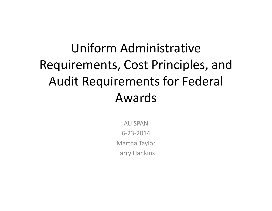# Uniform Administrative Requirements, Cost Principles, and Audit Requirements for Federal Awards

AU SPAN6‐23‐2014Martha Taylor Larry Hankins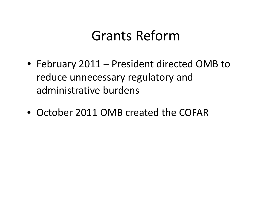# Grants Reform

- February 2011 President directed OMB to reduce unnecessary regulatory and administrative burdens
- October 2011 OMB created the COFAR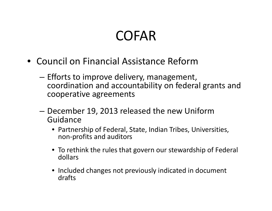# COFAR

- Council on Financial Assistance Reform
	- – $-$  Efforts to improve delivery, management, coordination and accountability on federal grants and cooperative agreements
	- – $-$  December 19, 2013 released the new Uniform Guidance
		- Partnership of Federal, State, Indian Tribes, Universities, non‐profits and auditors
		- To rethink the rules that govern our stewardship of Federal dollars
		- Included changes not previously indicated in document drafts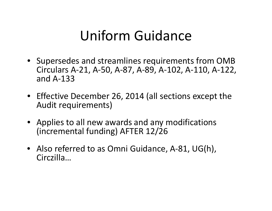# Uniform Guidance

- Supersedes and streamlines requirements from OMB Circulars A‐21, A‐50, A‐87, A‐89, A‐102, A‐110, A‐122, and A‐133
- Effective December 26, 2014 (all sections except the Audit requirements)
- Applies to all new awards and any modifications (incremental funding) AFTER 12/26
- Also referred to as Omni Guidance, A‐81, UG(h), Circzilla…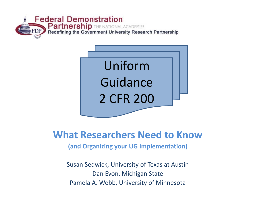



#### **What Researchers Need to Know**

**(and Organizing your UG Implementation)**

Susan Sedwick, University of Texas at Austin Dan Evon, Michigan State Pamela A. Webb, University of Minnesota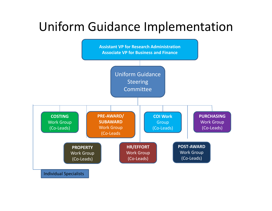## Uniform Guidance Implementation

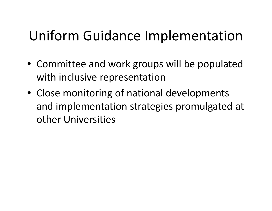# Uniform Guidance Implementation

- Committee and work groups will be populated with inclusive representation
- Close monitoring of national developments and implementation strategies promulgated at other Universities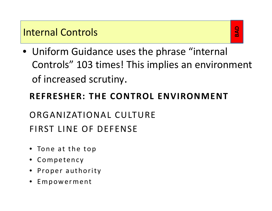#### Internal Controls

• Uniform Guidance uses the phrase "internal Controls" 103 times! This implies an environment of increased scrutiny.

#### **REFRESHER: THE CONTROL ENVIRONMENT**

## ORGANIZATIONAL CULTUREFIRST LINE OF DEFENSE

- $\bullet$  Tone at the top
- Competency
- Proper authority
- Empowerment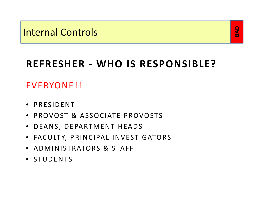## **BAD**

## **REFRESHER ‐ WHO IS RESPONSIBLE?**

#### EVERYONE!!

- PRESIDENT
- PROVOST & ASSOCIATE PROVOSTS
- DEANS, DEPARTMENT HEADS
- FACU LTY, PRINCIPAL INVESTIGATORS
- ADMINISTRATORS & STAFF
- STUDENTS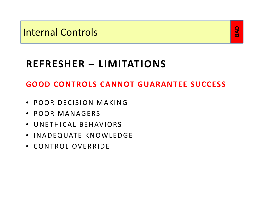## **BAD**

## **REFRESHER – LIMITATIONS**

#### **GOOD CONTROLS CANNOT GUARANTEE SUCCESS**

- POOR DECISION MAKING
- POOR MANAGERS
- UNETHICAL BEHAVIORS
- INADEQUATE KNOWLEDGE
- CONTROL OVERRIDE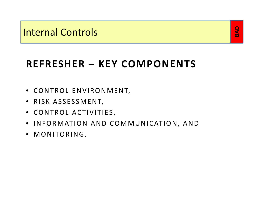#### **BAD**

## **REFRESHER – KEY COMPONENTS**

- CONTROL ENVIRONMENT,
- RISK ASSESSMENT,
- CONTROL ACTIVITIES,
- INFORMATION AND COMMUNICATION, AND
- MONITORING.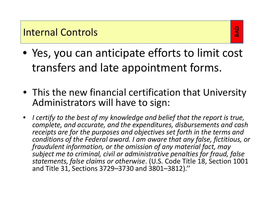- Yes, you can anticipate efforts to limit cost transfers and late appointment forms.
- This the new financial certification that University Administrators will have to sign:
- $\bullet$  *I certify to the best of my knowledge and belief that the report is true, complete, and accurate, and the expenditures, disbursements and cash receipts are for the purposes and objectives set forth in the terms and conditions of the Federal award. I am aware that any false, fictitious, or fraudulent information, or the omission of any material fact, may subject me to criminal, civil or administrative penalties for fraud, false statements, false claims or otherwise*. (U.S. Code Title 18, Section 1001 and Title 31, Sections 3729–3730 and 3801–3812).''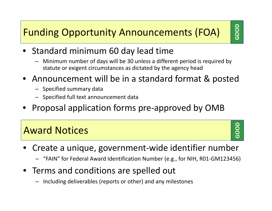## Funding Opportunity Announcements (FOA)

- •• Standard minimum 60 day lead time
	- Minimum number of days will be 30 unless <sup>a</sup> different period is required by statute or exigent circumstances as dictated by the agency head
- • Announcement will be in <sup>a</sup> standard format & posted
	- Specified summary data
	- Specified full text announcement data
- •Proposal application forms pre‐approved by OMB

#### Award Notices

**GOOD**

- • Create <sup>a</sup> unique, government‐wide identifier number
	- "FAIN" for Federal Award Identification Number (e.g., for NIH, R01‐GM123456)
- Terms and conditions are spelled out
	- –Including deliverables (reports or other) and any milestones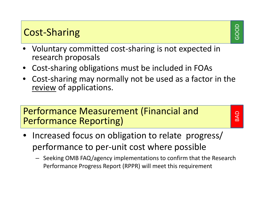#### Cost‐Sharing

- • Voluntary committed cost‐sharing is not expected in research proposals
- •Cost‐sharing obligations must be included in FOAs
- $\bullet$  Cost‐sharing may normally not be used as <sup>a</sup> factor in the review of applications.

#### Performance Measurement (Financial and Performance Reporting)

BAD

- •• Increased focus on obligation to relate progress/ performance to per‐unit cost where possible
	- Seeking OMB FAQ/agency implementations to confirm that the Research Performance Progress Report (RPPR) will meet this requirement

GOOD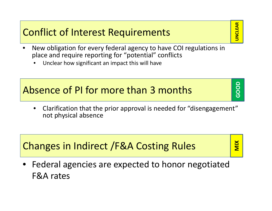#### Conflict of Interest Requirements

- **JNCLEAR UNCLEAR**
- $\bullet$  New obligation for every federal agency to have COI regulations in place and require reporting for "potential" conflicts
	- •Unclear how significant an impact this will have

#### Absence of PI for more than 3 months

 $\bullet$  $\bullet$  Clarification that the prior approval is needed for "disengagement" not physical absence

#### Changes in Indirect /F&A Costing Rules

**MIX**

**GOOD**

• Federal agencies are expected to honor negotiated F&A rates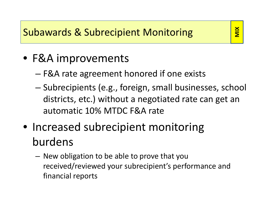## Subawards & Subrecipient Monitoring

#### **MIX**

## • F&A improvements

- F&A rate agreement honored if one exists
- – Subrecipients (e.g., foreign, small businesses, school districts, etc.) without <sup>a</sup> negotiated rate can get an automatic 10% MTDC F&A rate
- Increased subrecipient monitoring burdens
	- New obligation to be able to prove that you received/reviewed your subrecipient's performance and financial reports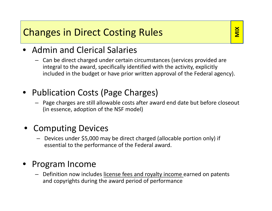#### Changes in Direct Costing Rules

**MIX**

- •**•** Admin and Clerical Salaries
	- Can be direct charged under certain circumstances (services provided are integral to the award, specifically identified with the activity, explicitly included in the budget or have prior written approval of the Federal agency).
- •• Publication Costs (Page Charges)
	- Page charges are still allowable costs after award end date but before closeout (in essence, adoption of the NSF model)
- Computing Devices
	- Devices under \$5,000 may be direct charged (allocable portion only) if essential to the performance of the Federal award.

#### •Program Income

– Definition now includes license fees and royalty income earned on patents and copyrights during the award period of performance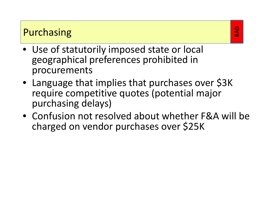#### Purchasing

- Use of statutorily imposed state or local geographical preferences prohibited in procurements
- Language that implies that purchases over \$3K require competitive quotes (potential major purchasing delays)
- Confusion not resolved about whether F&A will be charged on vendor purchases over \$25K